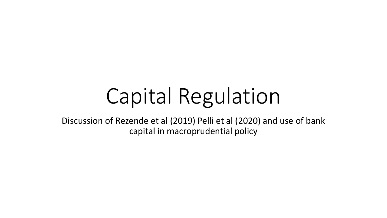# Capital Regulation

Discussion of Rezende et al (2019) Pelli et al (2020) and use of bank capital in macroprudential policy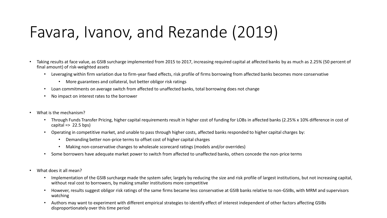#### Favara, Ivanov, and Rezande (2019)

- Taking results at face value, as GSIB surcharge implemented from 2015 to 2017, increasing required capital at affected banks by as much as 2.25% (50 percent of final amount) of risk-weighted assets
	- Leveraging within firm variation due to firm-year fixed effects, risk profile of firms borrowing from affected banks becomes more conservative
		- More guarantees and collateral, but better obligor risk ratings
	- Loan commitments on average switch from affected to unaffected banks, total borrowing does not change
	- No impact on interest rates to the borrower
- What is the mechanism?
	- Through Funds Transfer Pricing, higher capital requirements result in higher cost of funding for LOBs in affected banks (2.25% x 10% difference in cost of capital  $\Rightarrow$  22.5 bps)
	- Operating in competitive market, and unable to pass through higher costs, affected banks responded to higher capital charges by:
		- Demanding better non-price terms to offset cost of higher capital charges
		- Making non-conservative changes to wholesale scorecard ratings (models and/or overrides)
	- Some borrowers have adequate market power to switch from affected to unaffected banks, others concede the non-price terms
- What does it all mean?
	- Implementation of the GSIB surcharge made the system safer, largely by reducing the size and risk profile of largest institutions, but not increasing capital, without real cost to borrowers, by making smaller institutions more competitive
	- However, results suggest obligor risk ratings of the same firms became less conservative at GSIB banks relative to non-GSIBs, with MRM and supervisors watching
	- Authors may want to experiment with different empirical strategies to identify effect of interest independent of other factors affecting GSIBs disproportionately over this time period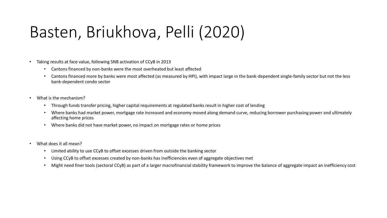## Basten, Briukhova, Pelli (2020)

- Taking results at face value, following SNB activation of CCyB in 2013
	- Cantons financed by non-banks were the most overheated but least affected
	- Cantons financed more by banks were most affected (as measured by HPI), with impact large in the bank-dependent single-family sector but not the less bank-dependent condo sector
- What is the mechanism?
	- Through funds transfer pricing, higher capital requirements at regulated banks result in higher cost of lending
	- Where banks had market power, mortgage rate increased and economy moved along demand curve, reducing borrower purchasing power and ultimately affecting home prices
	- Where banks did not have market power, no impact on mortgage rates or home prices
- What does it all mean?
	- Limited ability to use CCyB to offset excesses driven from outside the banking sector
	- Using CCyB to offset excesses created by non-banks has inefficiencies even of aggregate objectives met
	- Might need finer tools (sectoral CCyB) as part of a larger macrofinancial stability framework to improve the balance of aggregate impact an inefficiency cost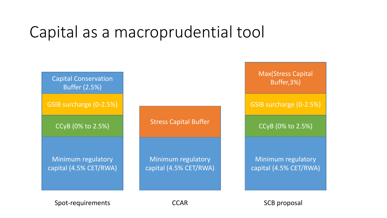#### Capital as a macroprudential tool



Spot-requirements CCAR SCB proposal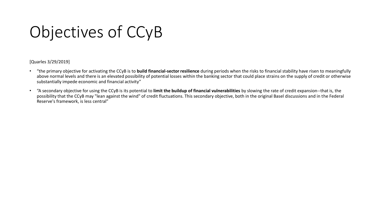## Objectives of CCyB

[Quarles 3/29/2019]

- "the primary objective for activating the CCyB is to **build financial-sector resilience** during periods when the risks to financial stability have risen to meaningfully above normal levels and there is an elevated possibility of potential losses within the banking sector that could place strains on the supply of credit or otherwise substantially impede economic and financial activity"
- "A secondary objective for using the CCyB is its potential to **limit the buildup of financial vulnerabilities** by slowing the rate of credit expansion--that is, the possibility that the CCyB may "lean against the wind" of credit fluctuations. This secondary objective, both in the original Basel discussions and in the Federal Reserve's framework, is less central"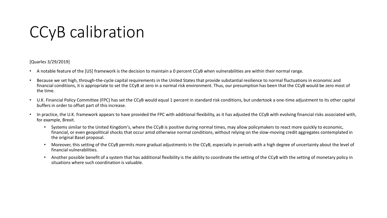#### CCyB calibration

[Quarles 3/29/2019]

- A notable feature of the [US] framework is the decision to maintain a 0 percent CCyB when vulnerabilities are within their normal range.
- Because we set high, through-the-cycle capital requirements in the United States that provide substantial resilience to normal fluctuations in economic and financial conditions, it is appropriate to set the CCyB at zero in a normal risk environment. Thus, our presumption has been that the CCyB would be zero most of the time.
- U.K. Financial Policy Committee (FPC) has set the CCyB would equal 1 percent in standard risk conditions, but undertook a one-time adjustment to its other capital buffers in order to offset part of this increase.
- In practice, the U.K. framework appears to have provided the FPC with additional flexibility, as it has adjusted the CCyB with evolving financial risks associated with, for example, Brexit.
	- Systems similar to the United Kingdom's, where the CCyB is positive during normal times, may allow policymakers to react more quickly to economic, financial, or even geopolitical shocks that occur amid otherwise normal conditions, without relying on the slow-moving credit aggregates contemplated in the original Basel proposal.
	- Moreover, this setting of the CCyB permits more gradual adjustments in the CCyB, especially in periods with a high degree of uncertainty about the level of financial vulnerabilities.
	- Another possible benefit of a system that has additional flexibility is the ability to coordinate the setting of the CCyB with the setting of monetary policy in situations where such coordination is valuable.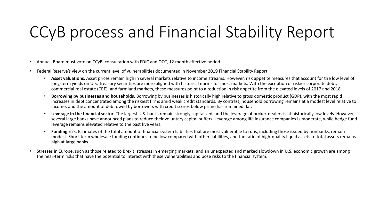### CCyB process and Financial Stability Report

- Annual, Board must vote on CCyB, consultation with FDIC and OCC, 12 month effective period
- Federal Reserve's view on the current level of vulnerabilities documented in November 2019 Financial Stability Report:
	- **Asset valuations**. Asset prices remain high in several markets relative to income streams. However, risk appetite measures that account for the low level of long-term yields on U.S. Treasury securities are more aligned with historical norms for most markets. With the exception of riskier corporate debt, commercial real estate (CRE), and farmland markets, these measures point to a reduction in risk appetite from the elevated levels of 2017 and 2018.
	- **Borrowing by businesses and households**. Borrowing by businesses is historically high relative to gross domestic product (GDP), with the most rapid increases in debt concentrated among the riskiest firms amid weak credit standards. By contrast, household borrowing remains at a modest level relative to income, and the amount of debt owed by borrowers with credit scores below prime has remained flat.
	- **Leverage in the financial sector**. The largest U.S. banks remain strongly capitalized, and the leverage of broker-dealers is at historically low levels. However, several large banks have announced plans to reduce their voluntary capital buffers. Leverage among life insurance companies is moderate, while hedge fund leverage remains elevated relative to the past five years.
	- **Funding risk**. Estimates of the total amount of financial system liabilities that are most vulnerable to runs, including those issued by nonbanks, remain modest. Short-term wholesale funding continues to be low compared with other liabilities, and the ratio of high-quality liquid assets to total assets remains high at large banks.
- Stresses in Europe, such as those related to Brexit; stresses in emerging markets; and an unexpected and marked slowdown in U.S. economic growth are among the near-term risks that have the potential to interact with these vulnerabilities and pose risks to the financial system.